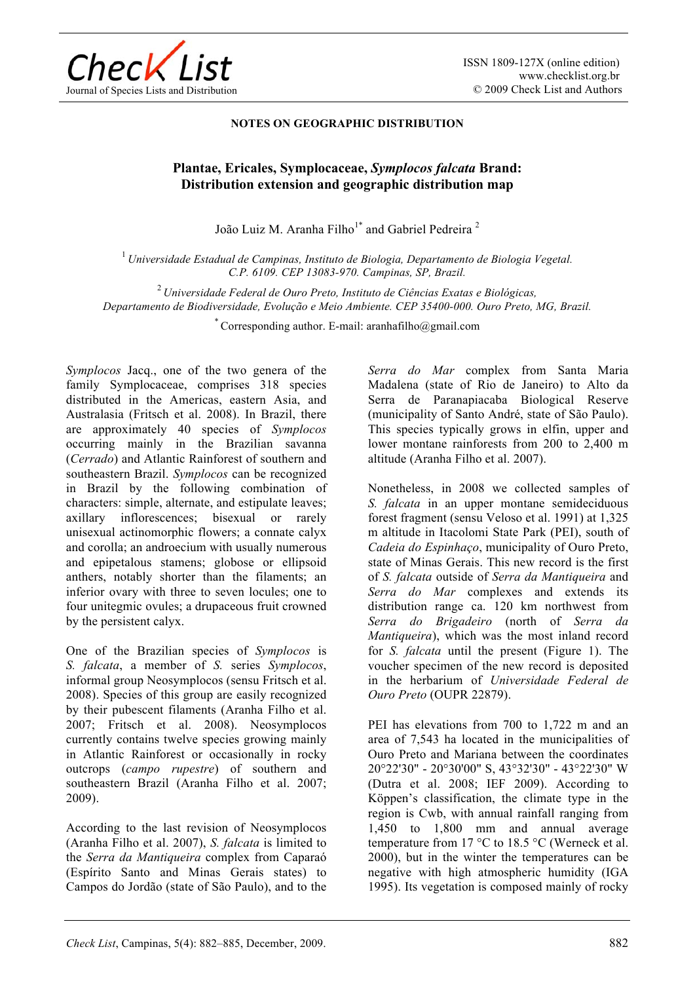

## **NOTES ON GEOGRAPHIC DISTRIBUTION**

## **Plantae, Ericales, Symplocaceae,** *Symplocos falcata* **Brand: Distribution extension and geographic distribution map**

João Luiz M. Aranha Filho<sup>1\*</sup> and Gabriel Pedreira<sup>2</sup>

<sup>1</sup>*Universidade Estadual de Campinas, Instituto de Biologia, Departamento de Biologia Vegetal. C.P. 6109. CEP 13083-970. Campinas, SP, Brazil.*

<sup>2</sup>*Universidade Federal de Ouro Preto, Instituto de Ciências Exatas e Biológicas, Departamento de Biodiversidade, Evolução e Meio Ambiente. CEP 35400-000. Ouro Preto, MG, Brazil.*

\* Corresponding author. E-mail: aranhafilho@gmail.com

*Symplocos* Jacq., one of the two genera of the family Symplocaceae, comprises 318 species distributed in the Americas, eastern Asia, and Australasia (Fritsch et al. 2008). In Brazil, there are approximately 40 species of *Symplocos* occurring mainly in the Brazilian savanna (*Cerrado*) and Atlantic Rainforest of southern and southeastern Brazil. *Symplocos* can be recognized in Brazil by the following combination of characters: simple, alternate, and estipulate leaves; axillary inflorescences; bisexual or rarely unisexual actinomorphic flowers; a connate calyx and corolla; an androecium with usually numerous and epipetalous stamens; globose or ellipsoid anthers, notably shorter than the filaments; an inferior ovary with three to seven locules; one to four unitegmic ovules; a drupaceous fruit crowned by the persistent calyx.

One of the Brazilian species of *Symplocos* is *S. falcata*, a member of *S.* series *Symplocos*, informal group Neosymplocos (sensu Fritsch et al. 2008). Species of this group are easily recognized by their pubescent filaments (Aranha Filho et al. 2007; Fritsch et al. 2008). Neosymplocos currently contains twelve species growing mainly in Atlantic Rainforest or occasionally in rocky outcrops (*campo rupestre*) of southern and southeastern Brazil (Aranha Filho et al. 2007; 2009).

According to the last revision of Neosymplocos (Aranha Filho et al. 2007), *S. falcata* is limited to the *Serra da Mantiqueira* complex from Caparaó (Espírito Santo and Minas Gerais states) to Campos do Jordão (state of São Paulo), and to the *Serra do Mar* complex from Santa Maria Madalena (state of Rio de Janeiro) to Alto da Serra de Paranapiacaba Biological Reserve (municipality of Santo André, state of São Paulo). This species typically grows in elfin, upper and lower montane rainforests from 200 to 2,400 m altitude (Aranha Filho et al. 2007).

Nonetheless, in 2008 we collected samples of *S. falcata* in an upper montane semideciduous forest fragment (sensu Veloso et al. 1991) at 1,325 m altitude in Itacolomi State Park (PEI), south of *Cadeia do Espinhaço*, municipality of Ouro Preto, state of Minas Gerais. This new record is the first of *S. falcata* outside of *Serra da Mantiqueira* and *Serra do Mar* complexes and extends its distribution range ca. 120 km northwest from *Serra do Brigadeiro* (north of *Serra da Mantiqueira*), which was the most inland record for *S. falcata* until the present (Figure 1). The voucher specimen of the new record is deposited in the herbarium of *Universidade Federal de Ouro Preto* (OUPR 22879).

PEI has elevations from 700 to 1,722 m and an area of 7,543 ha located in the municipalities of Ouro Preto and Mariana between the coordinates 20°22'30" - 20°30'00" S, 43°32'30" - 43°22'30" W (Dutra et al. 2008; IEF 2009). According to Köppen's classification, the climate type in the region is Cwb, with annual rainfall ranging from 1,450 to 1,800 mm and annual average temperature from 17  $\mathrm{^{\circ}C}$  to 18.5  $\mathrm{^{\circ}C}$  (Werneck et al. 2000), but in the winter the temperatures can be negative with high atmospheric humidity (IGA 1995). Its vegetation is composed mainly of rocky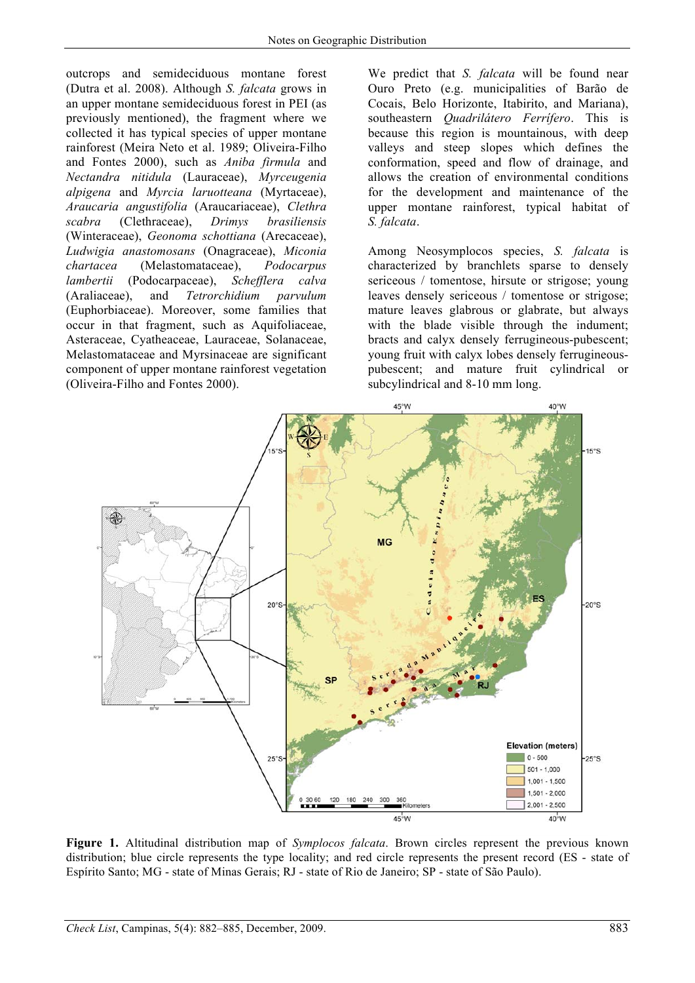outcrops and semideciduous montane forest (Dutra et al. 2008). Although *S. falcata* grows in an upper montane semideciduous forest in PEI (as previously mentioned), the fragment where we collected it has typical species of upper montane rainforest (Meira Neto et al. 1989; Oliveira-Filho and Fontes 2000), such as *Aniba firmula* and *Nectandra nitidula* (Lauraceae), *Myrceugenia alpigena* and *Myrcia laruotteana* (Myrtaceae), *Araucaria angustifolia* (Araucariaceae), *Clethra scabra* (Clethraceae), *Drimys brasiliensis*  (Winteraceae), *Geonoma schottiana* (Arecaceae), *Ludwigia anastomosans* (Onagraceae), *Miconia chartacea* (Melastomataceae), *Podocarpus lambertii* (Podocarpaceae), *Schefflera calva* (Araliaceae), and *Tetrorchidium parvulum*  (Euphorbiaceae). Moreover, some families that occur in that fragment, such as Aquifoliaceae, Asteraceae, Cyatheaceae, Lauraceae, Solanaceae, Melastomataceae and Myrsinaceae are significant component of upper montane rainforest vegetation (Oliveira-Filho and Fontes 2000).

We predict that *S. falcata* will be found near Ouro Preto (e.g. municipalities of Barão de Cocais, Belo Horizonte, Itabirito, and Mariana), southeastern *Quadrilátero Ferrífero*. This is because this region is mountainous, with deep valleys and steep slopes which defines the conformation, speed and flow of drainage, and allows the creation of environmental conditions for the development and maintenance of the upper montane rainforest, typical habitat of *S. falcata*.

Among Neosymplocos species, *S. falcata* is characterized by branchlets sparse to densely sericeous / tomentose, hirsute or strigose; young leaves densely sericeous / tomentose or strigose; mature leaves glabrous or glabrate, but always with the blade visible through the indument; bracts and calyx densely ferrugineous-pubescent; young fruit with calyx lobes densely ferrugineouspubescent; and mature fruit cylindrical or subcylindrical and 8-10 mm long.



**Figure 1.** Altitudinal distribution map of *Symplocos falcata*. Brown circles represent the previous known distribution; blue circle represents the type locality; and red circle represents the present record (ES - state of Espírito Santo; MG - state of Minas Gerais; RJ - state of Rio de Janeiro; SP - state of São Paulo).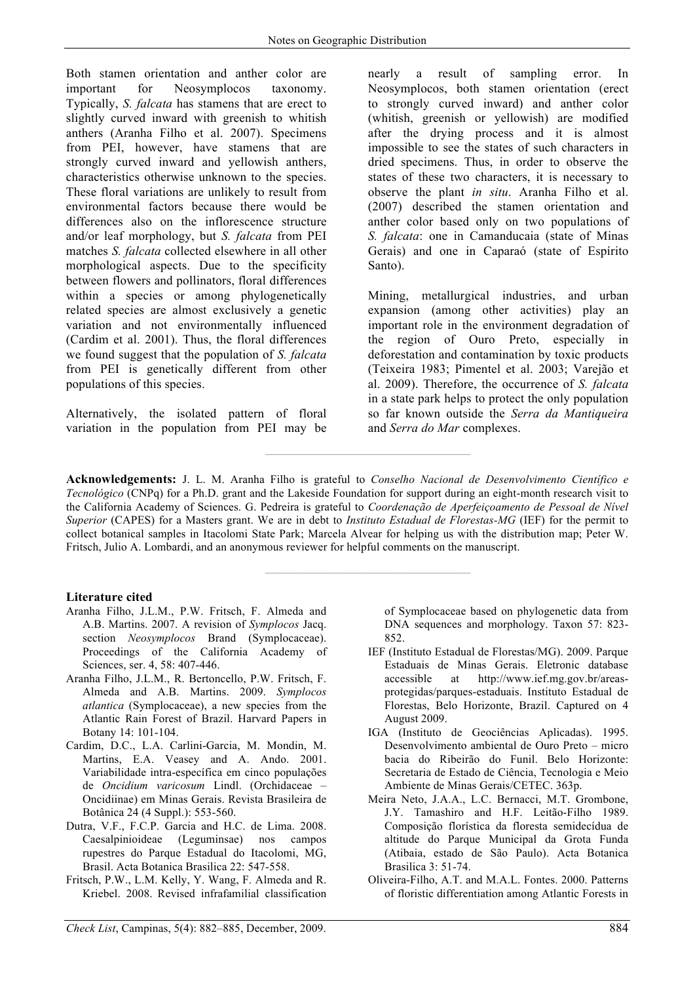Both stamen orientation and anther color are important for Neosymplocos taxonomy. Typically, *S. falcata* has stamens that are erect to slightly curved inward with greenish to whitish anthers (Aranha Filho et al. 2007). Specimens from PEI, however, have stamens that are strongly curved inward and yellowish anthers, characteristics otherwise unknown to the species. These floral variations are unlikely to result from environmental factors because there would be differences also on the inflorescence structure and/or leaf morphology, but *S. falcata* from PEI matches *S. falcata* collected elsewhere in all other morphological aspects. Due to the specificity between flowers and pollinators, floral differences within a species or among phylogenetically related species are almost exclusively a genetic variation and not environmentally influenced (Cardim et al. 2001). Thus, the floral differences we found suggest that the population of *S. falcata* from PEI is genetically different from other populations of this species.

Alternatively, the isolated pattern of floral variation in the population from PEI may be nearly a result of sampling error. In Neosymplocos, both stamen orientation (erect to strongly curved inward) and anther color (whitish, greenish or yellowish) are modified after the drying process and it is almost impossible to see the states of such characters in dried specimens. Thus, in order to observe the states of these two characters, it is necessary to observe the plant *in situ*. Aranha Filho et al. (2007) described the stamen orientation and anther color based only on two populations of *S. falcata*: one in Camanducaia (state of Minas Gerais) and one in Caparaó (state of Espírito Santo).

Mining, metallurgical industries, and urban expansion (among other activities) play an important role in the environment degradation of the region of Ouro Preto, especially in deforestation and contamination by toxic products (Teixeira 1983; Pimentel et al. 2003; Varejão et al. 2009). Therefore, the occurrence of *S. falcata*  in a state park helps to protect the only population so far known outside the *Serra da Mantiqueira* and *Serra do Mar* complexes.

**Acknowledgements:** J. L. M. Aranha Filho is grateful to *Conselho Nacional de Desenvolvimento Científico e Tecnológico* (CNPq) for a Ph.D. grant and the Lakeside Foundation for support during an eight-month research visit to the California Academy of Sciences. G. Pedreira is grateful to *Coordenação de Aperfeiçoamento de Pessoal de Nível Superior* (CAPES) for a Masters grant. We are in debt to *Instituto Estadual de Florestas-MG* (IEF) for the permit to collect botanical samples in Itacolomi State Park; Marcela Alvear for helping us with the distribution map; Peter W. Fritsch, Julio A. Lombardi, and an anonymous reviewer for helpful comments on the manuscript.

**————————————————** 

**————————————————** 

## **Literature cited**

- Aranha Filho, J.L.M., P.W. Fritsch, F. Almeda and A.B. Martins. 2007. A revision of *Symplocos* Jacq. section *Neosymplocos* Brand (Symplocaceae). Proceedings of the California Academy of Sciences, ser. 4, 58: 407-446.
- Aranha Filho, J.L.M., R. Bertoncello, P.W. Fritsch, F. Almeda and A.B. Martins. 2009. *Symplocos atlantica* (Symplocaceae), a new species from the Atlantic Rain Forest of Brazil. Harvard Papers in Botany 14: 101-104.
- Cardim, D.C., L.A. Carlini-Garcia, M. Mondin, M. Martins, E.A. Veasey and A. Ando. 2001. Variabilidade intra-específica em cinco populações de *Oncidium varicosum* Lindl. (Orchidaceae – Oncidiinae) em Minas Gerais. Revista Brasileira de Botânica 24 (4 Suppl.): 553-560.
- Dutra, V.F., F.C.P. Garcia and H.C. de Lima. 2008. Caesalpinioideae (Leguminsae) nos campos rupestres do Parque Estadual do Itacolomi, MG, Brasil. Acta Botanica Brasilica 22: 547-558.
- Fritsch, P.W., L.M. Kelly, Y. Wang, F. Almeda and R. Kriebel. 2008. Revised infrafamilial classification

of Symplocaceae based on phylogenetic data from DNA sequences and morphology. Taxon 57: 823- 852.

- IEF (Instituto Estadual de Florestas/MG). 2009. Parque Estaduais de Minas Gerais. Eletronic database accessible at http://www.ief.mg.gov.br/areasprotegidas/parques-estaduais. Instituto Estadual de Florestas, Belo Horizonte, Brazil. Captured on 4 August 2009.
- IGA (Instituto de Geociências Aplicadas). 1995. Desenvolvimento ambiental de Ouro Preto – micro bacia do Ribeirão do Funil. Belo Horizonte: Secretaria de Estado de Ciência, Tecnologia e Meio Ambiente de Minas Gerais/CETEC. 363p.
- Meira Neto, J.A.A., L.C. Bernacci, M.T. Grombone, J.Y. Tamashiro and H.F. Leitão-Filho 1989. Composição florística da floresta semidecídua de altitude do Parque Municipal da Grota Funda (Atibaia, estado de São Paulo). Acta Botanica Brasilica 3: 51-74.
- Oliveira-Filho, A.T. and M.A.L. Fontes. 2000. Patterns of floristic differentiation among Atlantic Forests in